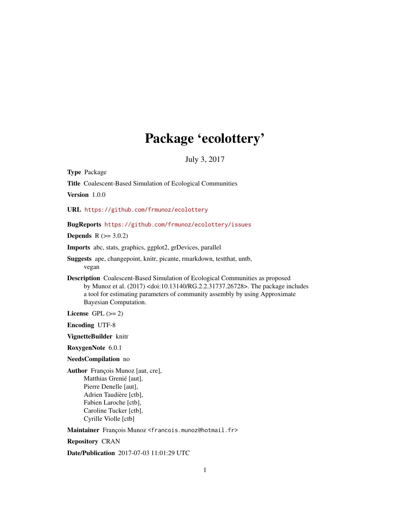## Package 'ecolottery'

July 3, 2017

<span id="page-0-0"></span>Type Package

Title Coalescent-Based Simulation of Ecological Communities

Version 1.0.0

URL <https://github.com/frmunoz/ecolottery>

BugReports <https://github.com/frmunoz/ecolottery/issues>

**Depends**  $R (= 3.0.2)$ 

Imports abc, stats, graphics, ggplot2, grDevices, parallel

- Suggests ape, changepoint, knitr, picante, rmarkdown, testthat, untb, vegan
- Description Coalescent-Based Simulation of Ecological Communities as proposed by Munoz et al. (2017) <doi:10.13140/RG.2.2.31737.26728>. The package includes a tool for estimating parameters of community assembly by using Approximate Bayesian Computation.

License GPL  $(>= 2)$ 

Encoding UTF-8

VignetteBuilder knitr

RoxygenNote 6.0.1

NeedsCompilation no

Author François Munoz [aut, cre], Matthias Grenié [aut], Pierre Denelle [aut], Adrien Taudière [ctb], Fabien Laroche [ctb], Caroline Tucker [ctb], Cyrille Violle [ctb]

Maintainer François Munoz <francois.munoz@hotmail.fr>

Repository CRAN

Date/Publication 2017-07-03 11:01:29 UTC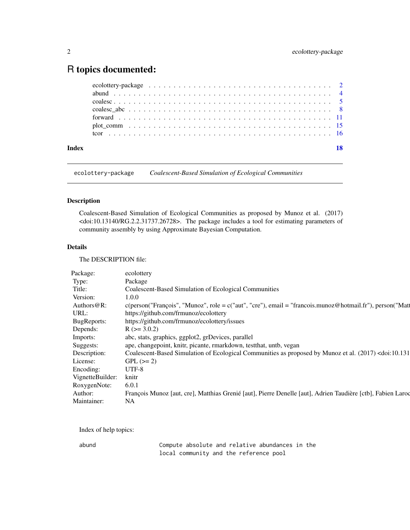### <span id="page-1-0"></span>R topics documented:

| Index | 18 |
|-------|----|
|       |    |
|       |    |
|       |    |
|       |    |
|       |    |
|       |    |
|       |    |

ecolottery-package *Coalescent-Based Simulation of Ecological Communities*

#### Description

Coalescent-Based Simulation of Ecological Communities as proposed by Munoz et al. (2017) <doi:10.13140/RG.2.2.31737.26728>. The package includes a tool for estimating parameters of community assembly by using Approximate Bayesian Computation.

#### Details

The DESCRIPTION file:

| Package:               | ecolottery                                                                                                                 |
|------------------------|----------------------------------------------------------------------------------------------------------------------------|
| Type:                  | Package                                                                                                                    |
| Title:                 | Coalescent-Based Simulation of Ecological Communities                                                                      |
| Version:               | 1.0.0                                                                                                                      |
| Authors $@R$ :         | $c(\text{person("François", "Munoz", role = }c("aut", "cre"), email = "francois.munoz@hotmail.fr"), person("Mat")$         |
| URL:                   | https://github.com/frmunoz/ecolottery                                                                                      |
| BugReports:            | https://github.com/frmunoz/ecolottery/issues                                                                               |
| Depends:               | $R (= 3.0.2)$                                                                                                              |
| Imports:               | abc, stats, graphics, ggplot2, grDevices, parallel                                                                         |
| Suggests:              | ape, changepoint, knitr, picante, rmarkdown, testthat, untb, vegan                                                         |
| Description:           | Coalescent-Based Simulation of Ecological Communities as proposed by Munoz et al. (2017) <doi:10.131< td=""></doi:10.131<> |
| License:               | $GPL (= 2)$                                                                                                                |
| Encoding:              | UTF-8                                                                                                                      |
| VignetteBuilder: knitr |                                                                                                                            |
| RoxygenNote:           | 6.0.1                                                                                                                      |
| Author:                | François Munoz [aut, cre], Matthias Grenié [aut], Pierre Denelle [aut], Adrien Taudière [ctb], Fabien Larod                |
| Maintainer:            | NA.                                                                                                                        |

Index of help topics:

abund Compute absolute and relative abundances in the local community and the reference pool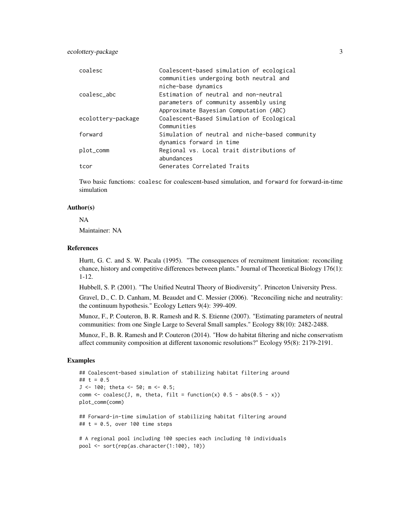ecolottery-package 3

| coalesc            | Coalescent-based simulation of ecological<br>communities undergoing both neutral and |
|--------------------|--------------------------------------------------------------------------------------|
|                    | niche-base dynamics                                                                  |
| coalesc abc        | Estimation of neutral and non-neutral                                                |
|                    | parameters of community assembly using                                               |
|                    | Approximate Bayesian Computation (ABC)                                               |
| ecolottery-package | Coalescent-Based Simulation of Ecological                                            |
|                    | Communities                                                                          |
| forward            | Simulation of neutral and niche-based community                                      |
|                    | dynamics forward in time                                                             |
| plot_comm          | Regional vs. Local trait distributions of                                            |
|                    | abundances                                                                           |
| tcor               | Generates Correlated Traits                                                          |

Two basic functions: coalesc for coalescent-based simulation, and forward for forward-in-time simulation

#### Author(s)

NA

Maintainer: NA

#### References

Hurtt, G. C. and S. W. Pacala (1995). "The consequences of recruitment limitation: reconciling chance, history and competitive differences between plants." Journal of Theoretical Biology 176(1): 1-12.

Hubbell, S. P. (2001). "The Unified Neutral Theory of Biodiversity". Princeton University Press.

Gravel, D., C. D. Canham, M. Beaudet and C. Messier (2006). "Reconciling niche and neutrality: the continuum hypothesis." Ecology Letters 9(4): 399-409.

Munoz, F., P. Couteron, B. R. Ramesh and R. S. Etienne (2007). "Estimating parameters of neutral communities: from one Single Large to Several Small samples." Ecology 88(10): 2482-2488.

Munoz, F., B. R. Ramesh and P. Couteron (2014). "How do habitat filtering and niche conservatism affect community composition at different taxonomic resolutions?" Ecology 95(8): 2179-2191.

#### Examples

```
## Coalescent-based simulation of stabilizing habitat filtering around
## t = 0.5
J <- 100; theta <- 50; m <- 0.5;
comm \le coalesc(J, m, theta, filt = function(x) 0.5 - abs(0.5 - x))
plot_comm(comm)
```
## Forward-in-time simulation of stabilizing habitat filtering around ## t = 0.5, over 100 time steps

# A regional pool including 100 species each including 10 individuals pool <- sort(rep(as.character(1:100), 10))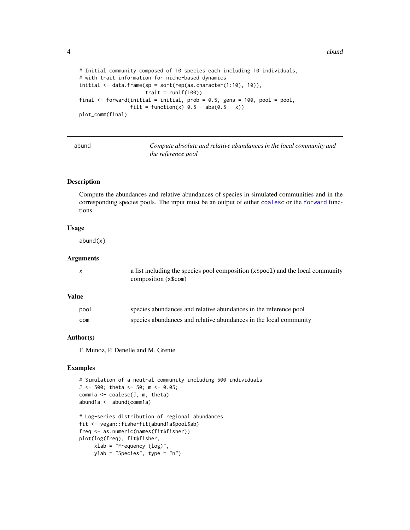4 abund 2012 abund 2012 abund 2012 abund 2012 abund 2012 abund 2012 abund 2012 abund 2012 abund 2013 abund 201

```
# Initial community composed of 10 species each including 10 individuals,
# with trait information for niche-based dynamics
initial <- data.frame(sp = sort(rep(as.character(1:10), 10)),
                     trait = runif(100))
final \le forward(initial = initial, prob = 0.5, gens = 100, pool = pool,
                 filt = function(x) 0.5 - abs(0.5 - x))
plot_comm(final)
```

| abund | Compute absolute and relative abundances in the local community and |
|-------|---------------------------------------------------------------------|
|       | <i>the reference pool</i>                                           |

#### Description

Compute the abundances and relative abundances of species in simulated communities and in the corresponding species pools. The input must be an output of either [coalesc](#page-4-1) or the [forward](#page-10-1) functions.

#### Usage

abund(x)

#### Arguments

| a list including the species pool composition (x\$pool) and the local community |
|---------------------------------------------------------------------------------|
| composition (x\\$com)                                                           |

#### Value

| pool | species abundances and relative abundances in the reference pool  |
|------|-------------------------------------------------------------------|
| com  | species abundances and relative abundances in the local community |

#### Author(s)

F. Munoz, P. Denelle and M. Grenie

```
# Simulation of a neutral community including 500 individuals
J <- 500; theta <- 50; m <- 0.05;
comm1a \leq coalesc(J, m, theta)
abund1a <- abund(comm1a)
# Log-series distribution of regional abundances
fit <- vegan::fisherfit(abund1a$pool$ab)
freq <- as.numeric(names(fit$fisher))
plot(log(freq), fit$fisher,
```

```
xlab = "Frequency (log)",
ylab = "Species", type = "n")
```
<span id="page-3-0"></span>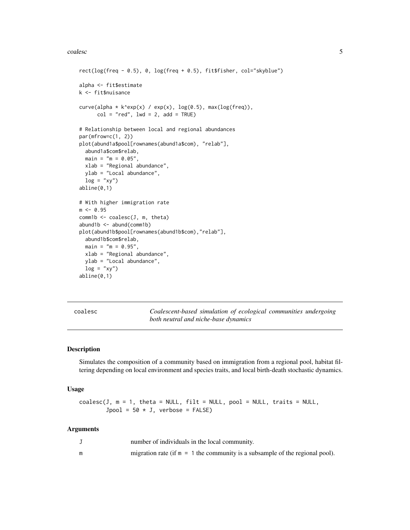#### <span id="page-4-0"></span>coalesc 5

```
rect(log(freq - 0.5), 0, log(freq + 0.5), fit$fisher, col="skyblue")
alpha <- fit$estimate
k <- fit$nuisance
curve(alpha + k^{\triangle}exp(x) / exp(x), log(0.5), max(log(freq)),col = "red", \text{ lwd} = 2, \text{ add} = TRUE)# Relationship between local and regional abundances
par(mfrow=c(1, 2))
plot(abund1a$pool[rownames(abund1a$com), "relab"],
 abund1a$com$relab,
 main = "m = 0.05",xlab = "Regional abundance",
 ylab = "Local abundance",
 log = "xy")abline(0,1)
# With higher immigration rate
m < -0.95comm1b <- coalesc(J, m, theta)
abund1b \leq -abund(comm1b)plot(abund1b$pool[rownames(abund1b$com),"relab"],
 abund1b$com$relab,
 main = "m = 0.95",xlab = "Regional abundance",
 ylab = "Local abundance",
 log = "xy")abline(0,1)
```
<span id="page-4-1"></span>coalesc *Coalescent-based simulation of ecological communities undergoing both neutral and niche-base dynamics*

#### Description

Simulates the composition of a community based on immigration from a regional pool, habitat filtering depending on local environment and species traits, and local birth-death stochastic dynamics.

#### Usage

 $coalesc(J, m = 1, theta = NULL, fill = NULL, pool = NULL, traits = NULL,$  $Jpool = 50 * J$ , verbose = FALSE)

#### Arguments

| number of individuals in the local community.                                  |
|--------------------------------------------------------------------------------|
| migration rate (if $m = 1$ the community is a subsample of the regional pool). |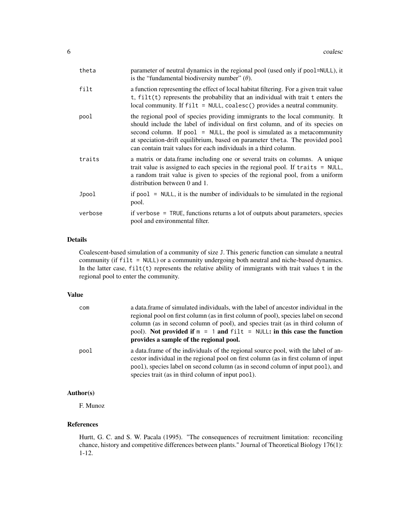| theta   | parameter of neutral dynamics in the regional pool (used only if pool=NULL), it<br>is the "fundamental biodiversity number" $(\theta)$ .                                                                                                                                                                                                                                                        |
|---------|-------------------------------------------------------------------------------------------------------------------------------------------------------------------------------------------------------------------------------------------------------------------------------------------------------------------------------------------------------------------------------------------------|
| filt    | a function representing the effect of local habitat filtering. For a given trait value<br>$t$ , $filt(t)$ represents the probability that an individual with trait $t$ enters the<br>local community. If $filt = NULL$ , coalesc() provides a neutral community.                                                                                                                                |
| pool    | the regional pool of species providing immigrants to the local community. It<br>should include the label of individual on first column, and of its species on<br>second column. If $pool = NULL$ , the pool is simulated as a metacommunity<br>at speciation-drift equilibrium, based on parameter theta. The provided pool<br>can contain trait values for each individuals in a third column. |
| traits  | a matrix or data.frame including one or several traits on columns. A unique<br>trait value is assigned to each species in the regional pool. If $\text{traits} = \text{NULL}$ ,<br>a random trait value is given to species of the regional pool, from a uniform<br>distribution between 0 and 1.                                                                                               |
| Jpool   | if $pool = NULL$ , it is the number of individuals to be simulated in the regional<br>pool.                                                                                                                                                                                                                                                                                                     |
| verbose | if verbose = TRUE, functions returns a lot of outputs about parameters, species<br>pool and environmental filter.                                                                                                                                                                                                                                                                               |

#### Details

Coalescent-based simulation of a community of size J. This generic function can simulate a neutral community (if filt = NULL) or a community undergoing both neutral and niche-based dynamics. In the latter case,  $filt(t)$  represents the relative ability of immigrants with trait values  $t$  in the regional pool to enter the community.

#### Value

| com  | a data frame of simulated individuals, with the label of ancestor individual in the<br>regional pool on first column (as in first column of pool), species label on second<br>column (as in second column of pool), and species trait (as in third column of<br>pool). Not provided if $m = 1$ and filt = NULL: in this case the function<br>provides a sample of the regional pool. |
|------|--------------------------------------------------------------------------------------------------------------------------------------------------------------------------------------------------------------------------------------------------------------------------------------------------------------------------------------------------------------------------------------|
| pool | a data frame of the individuals of the regional source pool, with the label of an-<br>cestor individual in the regional pool on first column (as in first column of input<br>pool), species label on second column (as in second column of input pool), and<br>species trait (as in third column of input pool).                                                                     |

#### Author(s)

F. Munoz

#### References

Hurtt, G. C. and S. W. Pacala (1995). "The consequences of recruitment limitation: reconciling chance, history and competitive differences between plants." Journal of Theoretical Biology 176(1): 1-12.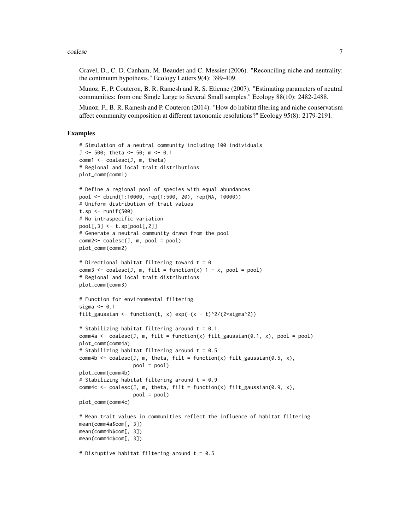#### coalesc 7

Gravel, D., C. D. Canham, M. Beaudet and C. Messier (2006). "Reconciling niche and neutrality: the continuum hypothesis." Ecology Letters 9(4): 399-409.

Munoz, F., P. Couteron, B. R. Ramesh and R. S. Etienne (2007). "Estimating parameters of neutral communities: from one Single Large to Several Small samples." Ecology 88(10): 2482-2488.

Munoz, F., B. R. Ramesh and P. Couteron (2014). "How do habitat filtering and niche conservatism affect community composition at different taxonomic resolutions?" Ecology 95(8): 2179-2191.

```
# Simulation of a neutral community including 100 individuals
J <- 500; theta <- 50; m <- 0.1
comm1 <- coalesc(J, m, theta)
# Regional and local trait distributions
plot_comm(comm1)
# Define a regional pool of species with equal abundances
pool <- cbind(1:10000, rep(1:500, 20), rep(NA, 10000))
# Uniform distribution of trait values
t.sp \le runif(500)
# No intraspecific variation
pool[,3] \leftarrow t.\text{sp}[pool[,2]]# Generate a neutral community drawn from the pool
comm2 < - coalesc(J, m, pool = pool)plot_comm(comm2)
# Directional habitat filtering toward t = 0
comm3 \le coalesc(J, m, filt = function(x) 1 - x, pool = pool)
# Regional and local trait distributions
plot_comm(comm3)
# Function for environmental filtering
sigma <-0.1filt_gaussian <- function(t, x) exp(-(x - t)^2/(2*sigma^2))
# Stabilizing habitat filtering around t = 0.1
comm4a \leq coalesc(J, m, filt = function(x) filt_gaussian(0.1, x), pool = pool)
plot_comm(comm4a)
# Stabilizing habitat filtering around t = 0.5
comm4b <- coalesc(J, m, theta, filt = function(x) filt_gaussian(0.5, x),
                  pool = pool)
plot_comm(comm4b)
# Stabilizing habitat filtering around t = 0.9
comm4c <- coalesc(J, m, theta, filt = function(x) filt_gaussian(0.9, x),
                  pool = pool)
plot_comm(comm4c)
# Mean trait values in communities reflect the influence of habitat filtering
mean(comm4a$com[, 3])
mean(comm4b$com[, 3])
mean(comm4c$com[, 3])
# Disruptive habitat filtering around t = 0.5
```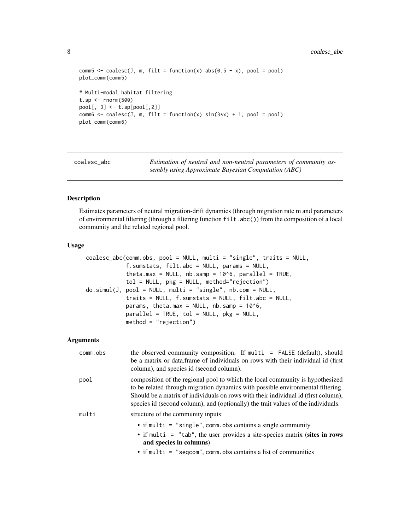```
comm5 <- coalesc(J, m, filt = function(x) abs(0.5 - x), pool = pool)
plot_comm(comm5)
# Multi-modal habitat filtering
t.sp <- rnorm(500)
pool[, 3] \leftarrow t.\nsp[pool[, 2]]comm6 \le coalesc(J, m, filt = function(x) sin(3*x) + 1, pool = pool)
plot_comm(comm6)
```
coalesc\_abc *Estimation of neutral and non-neutral parameters of community assembly using Approximate Bayesian Computation (ABC)*

#### Description

Estimates parameters of neutral migration-drift dynamics (through migration rate m and parameters of environmental filtering (through a filtering function filt.abc()) from the composition of a local community and the related regional pool.

#### Usage

```
coalesc_abc(comm.obs, pool = NULL, multi = "single", traits = NULL,
            f.sumstats, filt.abc = NULL, params = NULL,
            theta.max = NULL, nb.samp = 10^6, parallel = TRUE,
            tol = NULL, pkg = NULL, method="rejection")
do.simul(J, pool = NULL, multi = "single", nb.com = NULL,
            traits = NULL, f.sumstats = NULL, filt.abc = NULL,
            params, theta.max = NULL, nb.samp = 10^6,
            parallel = TRUE, tol = NULL, pk = NULL,method = "rejection")
```
#### Arguments

| comm.obs | the observed community composition. If multi = $FALSE$ (default), should<br>be a matrix or data.frame of individuals on rows with their individual id (first)<br>column), and species id (second column).                                                                                                                                   |
|----------|---------------------------------------------------------------------------------------------------------------------------------------------------------------------------------------------------------------------------------------------------------------------------------------------------------------------------------------------|
| pool     | composition of the regional pool to which the local community is hypothesized<br>to be related through migration dynamics with possible environmental filtering.<br>Should be a matrix of individuals on rows with their individual id (first column),<br>species id (second column), and (optionally) the trait values of the individuals. |
| multi    | structure of the community inputs:                                                                                                                                                                                                                                                                                                          |
|          | • if multi = "single", comm. obs contains a single community<br>• if multi $=$ "tab", the user provides a site-species matrix (sites in rows<br>and species in columns)<br>$\bullet$ if multi = "seqcom", comm. obs contains a list of communities                                                                                          |

<span id="page-7-0"></span>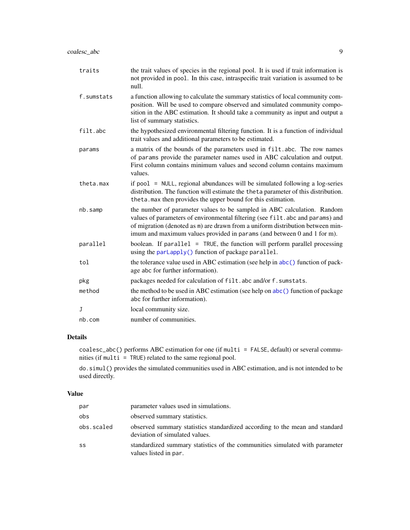<span id="page-8-0"></span>

| traits       | the trait values of species in the regional pool. It is used if trait information is<br>not provided in pool. In this case, intraspecific trait variation is assumed to be<br>null.                                                                                                                                    |
|--------------|------------------------------------------------------------------------------------------------------------------------------------------------------------------------------------------------------------------------------------------------------------------------------------------------------------------------|
| f.sumstats   | a function allowing to calculate the summary statistics of local community com-<br>position. Will be used to compare observed and simulated community compo-<br>sition in the ABC estimation. It should take a community as input and output a<br>list of summary statistics.                                          |
| filt.abc     | the hypothesized environmental filtering function. It is a function of individual<br>trait values and additional parameters to be estimated.                                                                                                                                                                           |
| params       | a matrix of the bounds of the parameters used in filt.abc. The row names<br>of params provide the parameter names used in ABC calculation and output.<br>First column contains minimum values and second column contains maximum<br>values.                                                                            |
| theta.max    | if pool = NULL, regional abundances will be simulated following a log-series<br>distribution. The function will estimate the theta parameter of this distribution.<br>theta. max then provides the upper bound for this estimation.                                                                                    |
| nb.samp      | the number of parameter values to be sampled in ABC calculation. Random<br>values of parameters of environmental filtering (see filt. abc and params) and<br>of migration (denoted as m) are drawn from a uniform distribution between min-<br>imum and maximum values provided in params (and between 0 and 1 for m). |
| parallel     | boolean. If $parallel = TRUE$ , the function will perform parallel processing<br>using the parLapply() function of package parallel.                                                                                                                                                                                   |
| tol          | the tolerance value used in ABC estimation (see help in abc() function of pack-<br>age abc for further information).                                                                                                                                                                                                   |
| pkg          | packages needed for calculation of filt. abc and/or f. sumstats.                                                                                                                                                                                                                                                       |
| method       | the method to be used in ABC estimation (see help on abc () function of package<br>abc for further information).                                                                                                                                                                                                       |
| $\mathbf{J}$ | local community size.                                                                                                                                                                                                                                                                                                  |
| nb.com       | number of communities.                                                                                                                                                                                                                                                                                                 |

#### Details

coalesc\_abc() performs ABC estimation for one (if multi = FALSE, default) or several communities (if multi = TRUE) related to the same regional pool.

do.simul() provides the simulated communities used in ABC estimation, and is not intended to be used directly.

#### Value

| par        | parameter values used in simulations.                                                                         |
|------------|---------------------------------------------------------------------------------------------------------------|
| obs        | observed summary statistics.                                                                                  |
| obs.scaled | observed summary statistics standardized according to the mean and standard<br>deviation of simulated values. |
| SS         | standardized summary statistics of the communities simulated with parameter<br>values listed in par.          |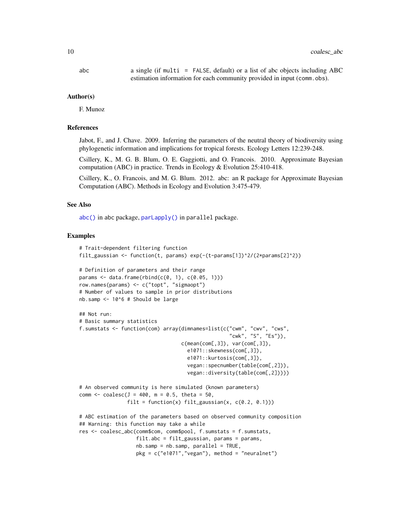<span id="page-9-0"></span>

#### Author(s)

F. Munoz

#### References

Jabot, F., and J. Chave. 2009. Inferring the parameters of the neutral theory of biodiversity using phylogenetic information and implications for tropical forests. Ecology Letters 12:239-248.

Csillery, K., M. G. B. Blum, O. E. Gaggiotti, and O. Francois. 2010. Approximate Bayesian computation (ABC) in practice. Trends in Ecology  $&$  Evolution 25:410-418.

Csillery, K., O. Francois, and M. G. Blum. 2012. abc: an R package for Approximate Bayesian Computation (ABC). Methods in Ecology and Evolution 3:475-479.

#### See Also

[abc\(\)](#page-0-0) in abc package, [parLapply\(\)](#page-0-0) in parallel package.

```
# Trait-dependent filtering function
filt_gaussian <- function(t, params) exp(-(t-params[1])^2/(2*params[2]^2))
# Definition of parameters and their range
params \leq data.frame(rbind(c(0, 1), c(0.05, 1)))
row.names(params) <- c("topt", "sigmaopt")
# Number of values to sample in prior distributions
nb.samp <- 10^6 # Should be large
## Not run:
# Basic summary statistics
f.sumstats <- function(com) array(dimnames=list(c("cwm", "cwv", "cws",
                                                   "cwk", "S", "Es")),
                                   c(\text{mean}(com[, 3]), \text{var}(com[, 3]),e1071::skewness(com[,3]),
                                     e1071::kurtosis(com[,3]),
                                     vegan::specnumber(table(com[,2])),
                                     vegan::diversity(table(com[,2]))))
# An observed community is here simulated (known parameters)
comm <- coalesc(J = 400, m = 0.5, theta = 50,
                filt = function(x) filt_gaussian(x, c(0.2, 0.1)))
# ABC estimation of the parameters based on observed community composition
## Warning: this function may take a while
res <- coalesc_abc(comm$com, comm$pool, f.sumstats = f.sumstats,
                   filt.abc = filt_gaussian, params = params,
                   nb.samp = nb.samp, parallel = TRUE,
                   pkg = c("e1071", "vegan"), method = "neuralnet")
```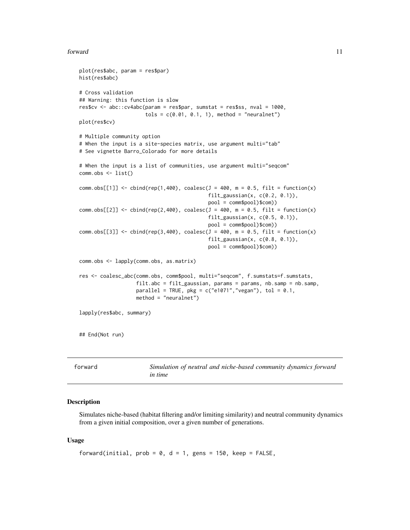#### <span id="page-10-0"></span>forward the contract of the contract of the contract of the contract of the contract of the contract of the contract of the contract of the contract of the contract of the contract of the contract of the contract of the co

```
plot(res$abc, param = res$par)
hist(res$abc)
# Cross validation
## Warning: this function is slow
res$cv <- abc::cv4abc(param = res$par, sumstat = res$ss, nval = 1000,
                      tols = c(0.01, 0.1, 1), method = "neuralnet")plot(res$cv)
# Multiple community option
# When the input is a site-species matrix, use argument multi="tab"
# See vignette Barro_Colorado for more details
# When the input is a list of communities, use argument multi="seqcom"
comm.obs <- list()
comm.obs[[1]] \le cbind(rep(1,400), coalesc(J = 400, m = 0.5, filt = function(x)
                                           filt_gaussian(x, c(0.2, 0.1)),
                                           pool = comm$pool)$com))
comm.obs[[2]] \le cbind(rep(2,400), coalesc(J = 400, m = 0.5, filt = function(x)
                                           filt_gaussian(x, c(0.5, 0.1)),
                                           pool = comm$pool)$com))
comm.obs[[3]] \le cbind(rep(3,400), coalesc(J = 400, m = 0.5, filt = function(x)
                                           filt_gaussian(x, c(0.8, 0.1)),
                                           pool = comm$pool)$com))
comm.obs <- lapply(comm.obs, as.matrix)
res <- coalesc_abc(comm.obs, comm$pool, multi="seqcom", f.sumstats=f.sumstats,
                   filt.abc = filt_gaussian, params = params, nb.samp = nb.samp,
                   parallel = TRUE, pkg = c("e1071", "vegan"), tol = 0.1,method = "neuralnet")
lapply(res$abc, summary)
## End(Not run)
```
<span id="page-10-1"></span>

| forward | Simulation of neutral and niche-based community dynamics forward |
|---------|------------------------------------------------------------------|
|         | <i>in time</i>                                                   |

#### Description

Simulates niche-based (habitat filtering and/or limiting similarity) and neutral community dynamics from a given initial composition, over a given number of generations.

#### Usage

```
forward(initial, prob = 0, d = 1, gens = 150, keep = FALSE,
```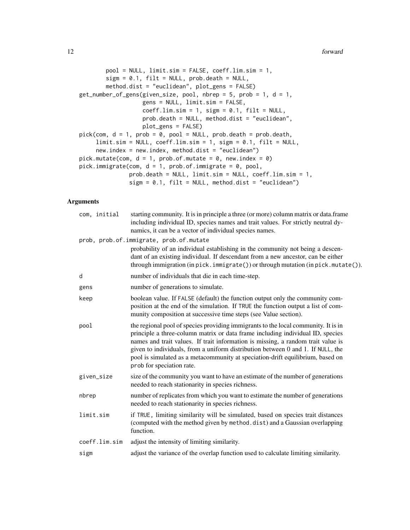```
pool = NULL, limit.sim = FALSE, coeff.lim.sim = 1,
        sign = 0.1, filt = NULL, prob.death = NULL,
        method.dist = "euclidean", plot_gens = FALSE)
get_number_of_gens(given_size, pool, nbrep = 5, prob = 1, d = 1,
                   gens = NULL, limit.sim = FALSE,
                   coeff.lim.sim = 1, sign = 0.1, filt = NULL,prob.death = NULL, method.dist = "euclidean",
                   plot_gens = FALSE)
pick(\text{com}, d = 1, prob = 0, pool = NULL, prob. death = prob. death,limit.sim = NULL, coeff.lim.sim = 1, sigm = 0.1, filt = NULL,
     new.index = new.index, method.dist = "euclidean")
pick.mutate(com, d = 1, prob.of.mutate = 0, new.index = 0)
pick.immigrate(com, d = 1, prob.of.immigrate = 0, pool,
               prob.death = NULL, limit.sim = NULL, coeff.lim.sim = 1,
               sign = 0.1, filt = NULL, method.dist = "euclidean")
```
#### Arguments

| com, initial  | starting community. It is in principle a three (or more) column matrix or data.frame<br>including individual ID, species names and trait values. For strictly neutral dy-<br>namics, it can be a vector of individual species names.                                                                                                                                                                                                                       |
|---------------|------------------------------------------------------------------------------------------------------------------------------------------------------------------------------------------------------------------------------------------------------------------------------------------------------------------------------------------------------------------------------------------------------------------------------------------------------------|
|               | prob, prob.of.immigrate, prob.of.mutate<br>probability of an individual establishing in the community not being a descen-<br>dant of an existing individual. If descendant from a new ancestor, can be either<br>through immigration (in pick.immigrate()) or through mutation (in pick.mutate()).                                                                                                                                                         |
| d             | number of individuals that die in each time-step.                                                                                                                                                                                                                                                                                                                                                                                                          |
| gens          | number of generations to simulate.                                                                                                                                                                                                                                                                                                                                                                                                                         |
| keep          | boolean value. If FALSE (default) the function output only the community com-<br>position at the end of the simulation. If TRUE the function output a list of com-<br>munity composition at successive time steps (see Value section).                                                                                                                                                                                                                     |
| pool          | the regional pool of species providing immigrants to the local community. It is in<br>principle a three-column matrix or data frame including individual ID, species<br>names and trait values. If trait information is missing, a random trait value is<br>given to individuals, from a uniform distribution between 0 and 1. If NULL, the<br>pool is simulated as a metacommunity at speciation-drift equilibrium, based on<br>prob for speciation rate. |
| given_size    | size of the community you want to have an estimate of the number of generations<br>needed to reach stationarity in species richness.                                                                                                                                                                                                                                                                                                                       |
| nbrep         | number of replicates from which you want to estimate the number of generations<br>needed to reach stationarity in species richness.                                                                                                                                                                                                                                                                                                                        |
| limit.sim     | if TRUE, limiting similarity will be simulated, based on species trait distances<br>(computed with the method given by method.dist) and a Gaussian overlapping<br>function.                                                                                                                                                                                                                                                                                |
| coeff.lim.sim | adjust the intensity of limiting similarity.                                                                                                                                                                                                                                                                                                                                                                                                               |
| sigm          | adjust the variance of the overlap function used to calculate limiting similarity.                                                                                                                                                                                                                                                                                                                                                                         |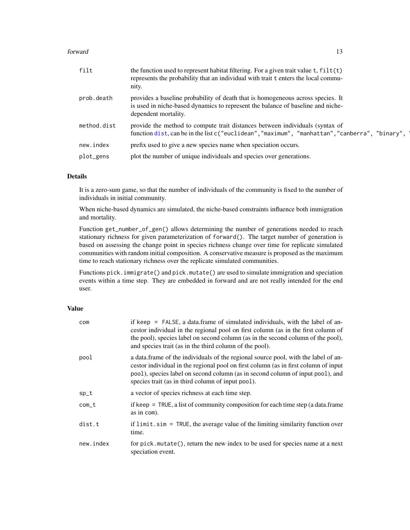#### <span id="page-12-0"></span>forward the contract of the contract of the contract of the contract of the contract of the contract of the contract of the contract of the contract of the contract of the contract of the contract of the contract of the co

| filt        | the function used to represent habitat filtering. For a given trait value $t$ , $filt(t)$<br>represents the probability that an individual with trait t enters the local commu-<br>nity.   |
|-------------|--------------------------------------------------------------------------------------------------------------------------------------------------------------------------------------------|
| prob.death  | provides a baseline probability of death that is homogeneous across species. It<br>is used in niche-based dynamics to represent the balance of baseline and niche-<br>dependent mortality. |
| method.dist | provide the method to compute trait distances between individuals (syntax of<br>function dist, can be in the list c ("euclidean", "maximum", "manhattan", "canberra", "binary",            |
| new.index   | prefix used to give a new species name when speciation occurs.                                                                                                                             |
| plot_gens   | plot the number of unique individuals and species over generations.                                                                                                                        |

#### Details

It is a zero-sum game, so that the number of individuals of the community is fixed to the number of individuals in initial community.

When niche-based dynamics are simulated, the niche-based constraints influence both immigration and mortality.

Function get\_number\_of\_gen() allows determining the number of generations needed to reach stationary richness for given parameterization of forward(). The target number of generation is based on assessing the change point in species richness change over time for replicate simulated communities with random initial composition. A conservative measure is proposed as the maximum time to reach stationary richness over the replicate simulated communities.

Functions pick.immigrate() and pick.mutate() are used to simulate immigration and speciation events within a time step. They are embedded in forward and are not really intended for the end user.

#### Value

| com       | if keep = FALSE, a data.frame of simulated individuals, with the label of an-<br>cestor individual in the regional pool on first column (as in the first column of<br>the pool), species label on second column (as in the second column of the pool),<br>and species trait (as in the third column of the pool). |
|-----------|-------------------------------------------------------------------------------------------------------------------------------------------------------------------------------------------------------------------------------------------------------------------------------------------------------------------|
| pool      | a data frame of the individuals of the regional source pool, with the label of an-<br>cestor individual in the regional pool on first column (as in first column of input<br>pool), species label on second column (as in second column of input pool), and<br>species trait (as in third column of input pool).  |
| $sp_t$    | a vector of species richness at each time step.                                                                                                                                                                                                                                                                   |
| com_t     | if keep $=$ TRUE, a list of community composition for each time step (a data.frame<br>as in com).                                                                                                                                                                                                                 |
| dist.t    | if $limit \, . \, sim = TRUE$ , the average value of the limiting similarity function over<br>time.                                                                                                                                                                                                               |
| new.index | for pick. mutate(), return the new index to be used for species name at a next<br>speciation event.                                                                                                                                                                                                               |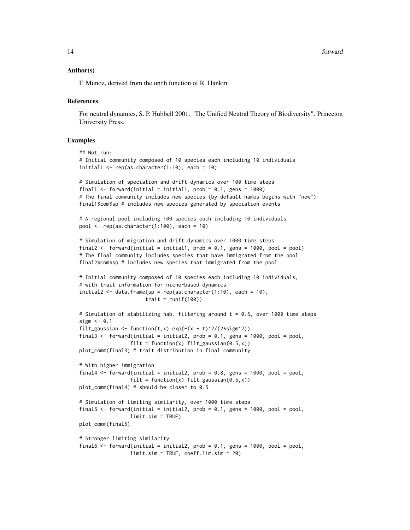#### Author(s)

F. Munoz, derived from the untb function of R. Hankin.

#### **References**

For neutral dynamics, S. P. Hubbell 2001. "The Unified Neutral Theory of Biodiversity". Princeton University Press.

```
## Not run:
# Initial community composed of 10 species each including 10 individuals
initial1 \leq rep(as.character(1:10), each = 10)
# Simulation of speciation and drift dynamics over 100 time steps
final1 \le forward(initial = initial1, prob = 0.1, gens = 1000)
# The final community includes new species (by default names begins with "new")
final1$com$sp # includes new species generated by speciation events
# A regional pool including 100 species each including 10 individuals
pool \leq rep(as.character(1:100), each = 10)
# Simulation of migration and drift dynamics over 1000 time steps
final2 <- forward(initial = initial1, prob = 0.1, gens = 1000, pool = pool)
# The final community includes species that have immigrated from the pool
final2$com$sp # includes new species that immigrated from the pool
# Initial community composed of 10 species each including 10 individuals,
# with trait information for niche-based dynamics
initial2 <- data.frame(sp = rep(as.character(1:10), each = 10),
                      trait = runif(100))
# Simulation of stabilizing hab. filtering around t = 0.5, over 1000 time steps
sigm \leq 0.1filt_gaussian <- function(t,x) exp(-(x - t)^2/(2*sign^2))final3 <- forward(initial = initial2, prob = 0.1, gens = 1000, pool = pool,
                 filt = function(x) filt_gaussian(0.5, x))
plot_comm(final3) # trait distribution in final community
# With higher immigration
final4 \le forward(initial = initial2, prob = 0.8, gens = 1000, pool = pool,
                 filt = function(x) filt_gaussian(0.5, x))
plot_comm(final4) # should be closer to 0.5
# Simulation of limiting similarity, over 1000 time steps
final5 <- forward(initial = initial2, prob = 0.1, gens = 1000, pool = pool,
                 limit.sim = TRUE)
plot_comm(final5)
# Stronger limiting similarity
final6 <- forward(initial = initial2, prob = 0.1, gens = 1000, pool = pool,
                 limit.sim = TRUE, coeff.lim.sim = 20)
```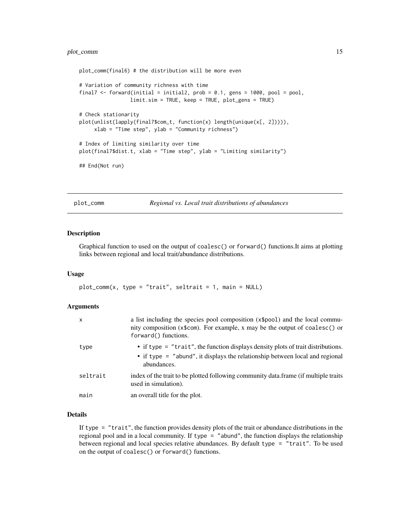```
plot_comm(final6) # the distribution will be more even
# Variation of community richness with time
final7 <- forward(initial = initial2, prob = 0.1, gens = 1000, pool = pool,
                 limit.sim = TRUE, keep = TRUE, plot_gens = TRUE)
# Check stationarity
plot(unlist(lapply(final7$com_t, function(x) length(unique(x[, 2])))),
     xlab = "Time step", ylab = "Community richness")
# Index of limiting similarity over time
plot(final7$dist.t, xlab = "Time step", ylab = "Limiting similarity")
## End(Not run)
```
plot\_comm *Regional vs. Local trait distributions of abundances*

#### Description

Graphical function to used on the output of coalesc() or forward() functions.It aims at plotting links between regional and local trait/abundance distributions.

#### Usage

plot\_comm(x, type = "trait", seltrait = 1, main = NULL)

#### Arguments

| X        | a list including the species pool composition (x\$pool) and the local commu-<br>nity composition (x\$com). For example, x may be the output of coalesc() or<br>forward() functions. |
|----------|-------------------------------------------------------------------------------------------------------------------------------------------------------------------------------------|
| type     | • if type = "trait", the function displays density plots of trait distributions.<br>• if type = "abund", it displays the relationship between local and regional<br>abundances.     |
| seltrait | index of the trait to be plotted following community data.frame (if multiple traits<br>used in simulation).                                                                         |
| main     | an overall title for the plot.                                                                                                                                                      |

#### Details

If type = "trait", the function provides density plots of the trait or abundance distributions in the regional pool and in a local community. If type = "abund", the function displays the relationship between regional and local species relative abundances. By default type = "trait". To be used on the output of coalesc() or forward() functions.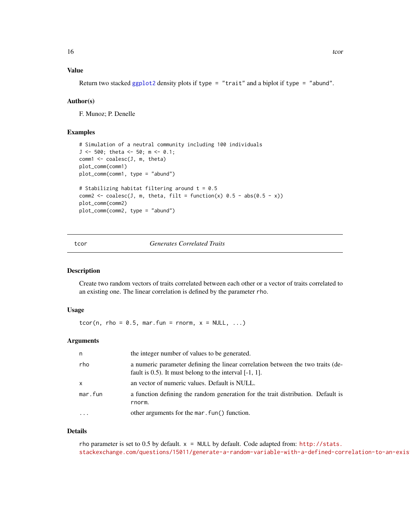#### <span id="page-15-0"></span>Value

Return two stacked [ggplot2](#page-0-0) density plots if type = "trait" and a biplot if type = "abund".

#### Author(s)

F. Munoz; P. Denelle

#### Examples

```
# Simulation of a neutral community including 100 individuals
J <- 500; theta <- 50; m <- 0.1;
comm1 < -coalesc(J, m, theta)plot_comm(comm1)
plot_comm(comm1, type = "abund")
# Stabilizing habitat filtering around t = 0.5
comm2 <- coalesc(J, m, theta, filt = function(x) 0.5 - abs(0.5 - x))
plot_comm(comm2)
plot_comm(comm2, type = "abund")
```
#### tcor *Generates Correlated Traits*

#### Description

Create two random vectors of traits correlated between each other or a vector of traits correlated to an existing one. The linear correlation is defined by the parameter rho.

#### Usage

tcor(n, rho =  $0.5$ , mar.fun = rnorm,  $x = NULL$ , ...)

#### Arguments

| n       | the integer number of values to be generated.                                                                                                    |
|---------|--------------------------------------------------------------------------------------------------------------------------------------------------|
| rho     | a numeric parameter defining the linear correlation between the two traits (de-<br>fault is $(0.5)$ . It must belong to the interval $[-1, 1]$ . |
| X       | an vector of numeric values. Default is NULL.                                                                                                    |
| mar.fun | a function defining the random generation for the trait distribution. Default is<br>rnorm.                                                       |
| $\cdot$ | other arguments for the mar. fun() function.                                                                                                     |

#### Details

rho parameter is set to 0.5 by default. x = NULL by default. Code adapted from: [http://stats.](http://stats.stackexchange.com/questions/15011/generate-a-random-variable-with-a-defined-correlation-to-an-existing-variable) stackexchange.com/questions/15011/generate-a-random-variable-with-a-defined-correlation-to-an-exis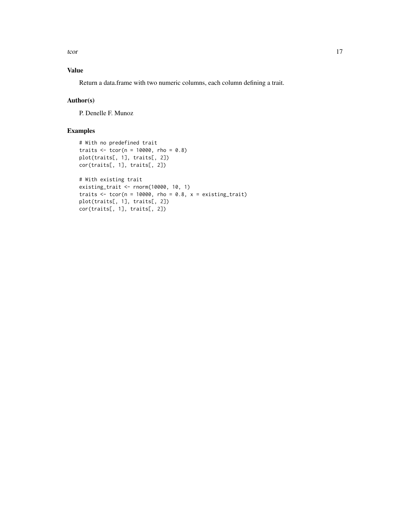tcor to the contract of the contract of the contract of the contract of the contract of the contract of the contract of the contract of the contract of the contract of the contract of the contract of the contract of the co

#### Value

Return a data.frame with two numeric columns, each column defining a trait.

#### Author(s)

P. Denelle F. Munoz

```
# With no predefined trait
traits \le tcor(n = 10000, rho = 0.8)
plot(traits[, 1], traits[, 2])
cor(traits[, 1], traits[, 2])
# With existing trait
existing_trait <- rnorm(10000, 10, 1)
traits \le tcor(n = 10000, rho = 0.8, x = existing_trait)
plot(traits[, 1], traits[, 2])
cor(traits[, 1], traits[, 2])
```